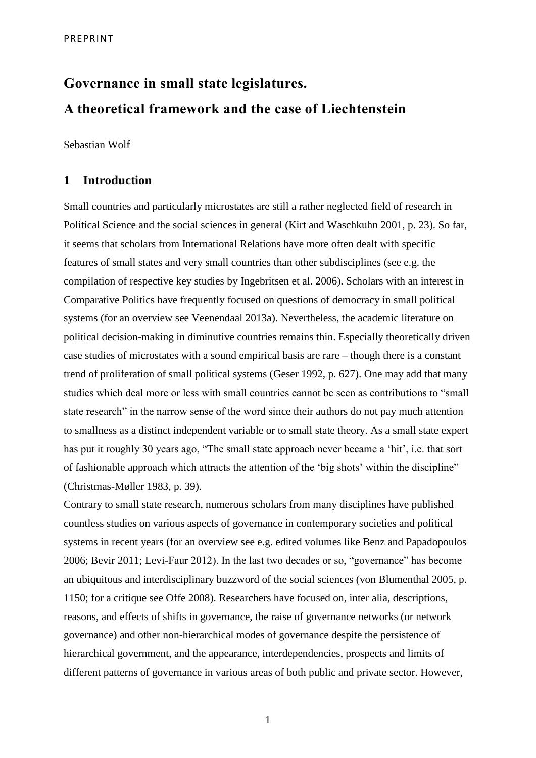# **Governance in small state legislatures. A theoretical framework and the case of Liechtenstein**

Sebastian Wolf

## **1 Introduction**

Small countries and particularly microstates are still a rather neglected field of research in Political Science and the social sciences in general (Kirt and Waschkuhn 2001, p. 23). So far, it seems that scholars from International Relations have more often dealt with specific features of small states and very small countries than other subdisciplines (see e.g. the compilation of respective key studies by Ingebritsen et al. 2006). Scholars with an interest in Comparative Politics have frequently focused on questions of democracy in small political systems (for an overview see Veenendaal 2013a). Nevertheless, the academic literature on political decision-making in diminutive countries remains thin. Especially theoretically driven case studies of microstates with a sound empirical basis are rare – though there is a constant trend of proliferation of small political systems (Geser 1992, p. 627). One may add that many studies which deal more or less with small countries cannot be seen as contributions to "small state research" in the narrow sense of the word since their authors do not pay much attention to smallness as a distinct independent variable or to small state theory. As a small state expert has put it roughly 30 years ago, "The small state approach never became a 'hit', i.e. that sort of fashionable approach which attracts the attention of the 'big shots' within the discipline" (Christmas-Møller 1983, p. 39).

Contrary to small state research, numerous scholars from many disciplines have published countless studies on various aspects of governance in contemporary societies and political systems in recent years (for an overview see e.g. edited volumes like Benz and Papadopoulos 2006; Bevir 2011; Levi-Faur 2012). In the last two decades or so, "governance" has become an ubiquitous and interdisciplinary buzzword of the social sciences (von Blumenthal 2005, p. 1150; for a critique see Offe 2008). Researchers have focused on, inter alia, descriptions, reasons, and effects of shifts in governance, the raise of governance networks (or network governance) and other non-hierarchical modes of governance despite the persistence of hierarchical government, and the appearance, interdependencies, prospects and limits of different patterns of governance in various areas of both public and private sector. However,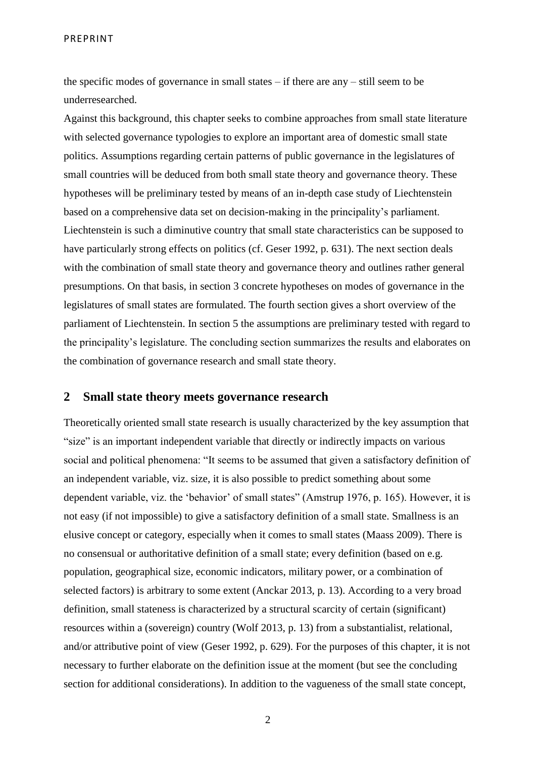the specific modes of governance in small states – if there are any – still seem to be underresearched.

Against this background, this chapter seeks to combine approaches from small state literature with selected governance typologies to explore an important area of domestic small state politics. Assumptions regarding certain patterns of public governance in the legislatures of small countries will be deduced from both small state theory and governance theory. These hypotheses will be preliminary tested by means of an in-depth case study of Liechtenstein based on a comprehensive data set on decision-making in the principality's parliament. Liechtenstein is such a diminutive country that small state characteristics can be supposed to have particularly strong effects on politics (cf. Geser 1992, p. 631). The next section deals with the combination of small state theory and governance theory and outlines rather general presumptions. On that basis, in section 3 concrete hypotheses on modes of governance in the legislatures of small states are formulated. The fourth section gives a short overview of the parliament of Liechtenstein. In section 5 the assumptions are preliminary tested with regard to the principality's legislature. The concluding section summarizes the results and elaborates on the combination of governance research and small state theory.

#### **2 Small state theory meets governance research**

Theoretically oriented small state research is usually characterized by the key assumption that "size" is an important independent variable that directly or indirectly impacts on various social and political phenomena: "It seems to be assumed that given a satisfactory definition of an independent variable, viz. size, it is also possible to predict something about some dependent variable, viz. the 'behavior' of small states" (Amstrup 1976, p. 165). However, it is not easy (if not impossible) to give a satisfactory definition of a small state. Smallness is an elusive concept or category, especially when it comes to small states (Maass 2009). There is no consensual or authoritative definition of a small state; every definition (based on e.g. population, geographical size, economic indicators, military power, or a combination of selected factors) is arbitrary to some extent (Anckar 2013, p. 13). According to a very broad definition, small stateness is characterized by a structural scarcity of certain (significant) resources within a (sovereign) country (Wolf 2013, p. 13) from a substantialist, relational, and/or attributive point of view (Geser 1992, p. 629). For the purposes of this chapter, it is not necessary to further elaborate on the definition issue at the moment (but see the concluding section for additional considerations). In addition to the vagueness of the small state concept,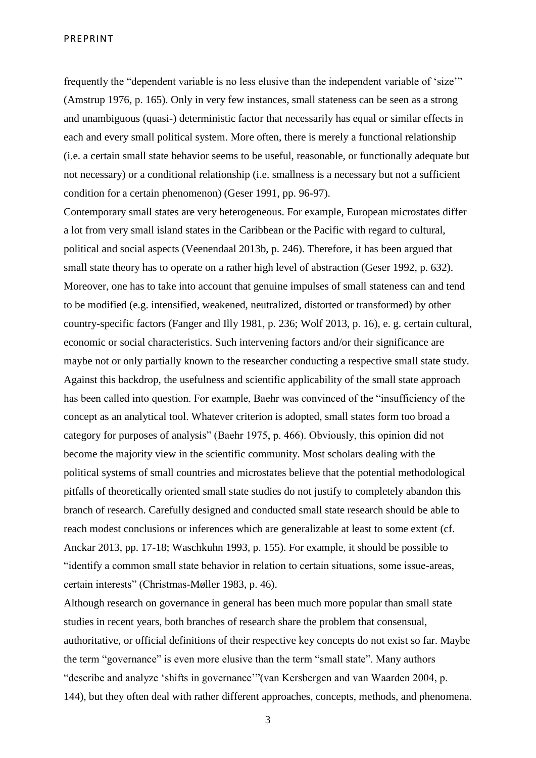frequently the "dependent variable is no less elusive than the independent variable of 'size'" (Amstrup 1976, p. 165). Only in very few instances, small stateness can be seen as a strong and unambiguous (quasi-) deterministic factor that necessarily has equal or similar effects in each and every small political system. More often, there is merely a functional relationship (i.e. a certain small state behavior seems to be useful, reasonable, or functionally adequate but not necessary) or a conditional relationship (i.e. smallness is a necessary but not a sufficient condition for a certain phenomenon) (Geser 1991, pp. 96-97).

Contemporary small states are very heterogeneous. For example, European microstates differ a lot from very small island states in the Caribbean or the Pacific with regard to cultural, political and social aspects (Veenendaal 2013b, p. 246). Therefore, it has been argued that small state theory has to operate on a rather high level of abstraction (Geser 1992, p. 632). Moreover, one has to take into account that genuine impulses of small stateness can and tend to be modified (e.g. intensified, weakened, neutralized, distorted or transformed) by other country-specific factors (Fanger and Illy 1981, p. 236; Wolf 2013, p. 16), e. g. certain cultural, economic or social characteristics. Such intervening factors and/or their significance are maybe not or only partially known to the researcher conducting a respective small state study. Against this backdrop, the usefulness and scientific applicability of the small state approach has been called into question. For example, Baehr was convinced of the "insufficiency of the concept as an analytical tool. Whatever criterion is adopted, small states form too broad a category for purposes of analysis" (Baehr 1975, p. 466). Obviously, this opinion did not become the majority view in the scientific community. Most scholars dealing with the political systems of small countries and microstates believe that the potential methodological pitfalls of theoretically oriented small state studies do not justify to completely abandon this branch of research. Carefully designed and conducted small state research should be able to reach modest conclusions or inferences which are generalizable at least to some extent (cf. Anckar 2013, pp. 17-18; Waschkuhn 1993, p. 155). For example, it should be possible to "identify a common small state behavior in relation to certain situations, some issue-areas, certain interests" (Christmas-Møller 1983, p. 46).

Although research on governance in general has been much more popular than small state studies in recent years, both branches of research share the problem that consensual, authoritative, or official definitions of their respective key concepts do not exist so far. Maybe the term "governance" is even more elusive than the term "small state". Many authors "describe and analyze 'shifts in governance'"(van Kersbergen and van Waarden 2004, p. 144), but they often deal with rather different approaches, concepts, methods, and phenomena.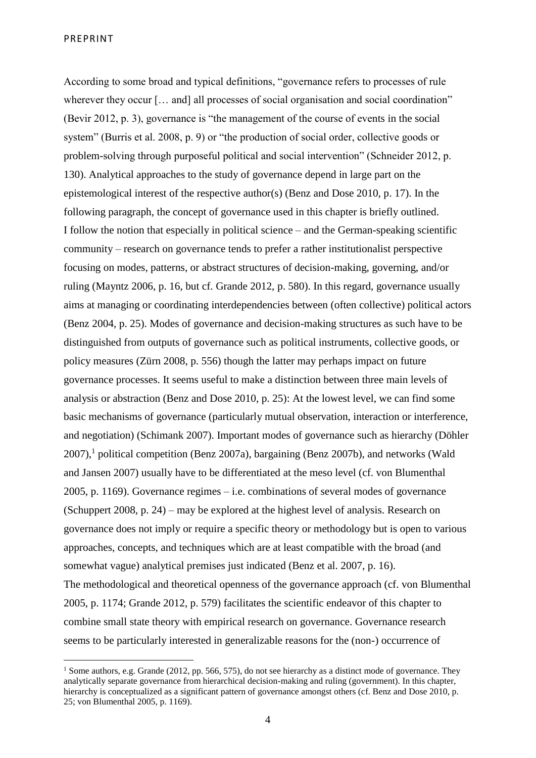1

According to some broad and typical definitions, "governance refers to processes of rule wherever they occur [... and] all processes of social organisation and social coordination" (Bevir 2012, p. 3), governance is "the management of the course of events in the social system" (Burris et al. 2008, p. 9) or "the production of social order, collective goods or problem-solving through purposeful political and social intervention" (Schneider 2012, p. 130). Analytical approaches to the study of governance depend in large part on the epistemological interest of the respective author(s) (Benz and Dose 2010, p. 17). In the following paragraph, the concept of governance used in this chapter is briefly outlined. I follow the notion that especially in political science – and the German-speaking scientific community – research on governance tends to prefer a rather institutionalist perspective focusing on modes, patterns, or abstract structures of decision-making, governing, and/or ruling (Mayntz 2006, p. 16, but cf. Grande 2012, p. 580). In this regard, governance usually aims at managing or coordinating interdependencies between (often collective) political actors (Benz 2004, p. 25). Modes of governance and decision-making structures as such have to be distinguished from outputs of governance such as political instruments, collective goods, or policy measures (Zürn 2008, p. 556) though the latter may perhaps impact on future governance processes. It seems useful to make a distinction between three main levels of analysis or abstraction (Benz and Dose 2010, p. 25): At the lowest level, we can find some basic mechanisms of governance (particularly mutual observation, interaction or interference, and negotiation) (Schimank 2007). Important modes of governance such as hierarchy (Döhler  $2007$ ),<sup>1</sup> political competition (Benz 2007a), bargaining (Benz 2007b), and networks (Wald and Jansen 2007) usually have to be differentiated at the meso level (cf. von Blumenthal 2005, p. 1169). Governance regimes – i.e. combinations of several modes of governance (Schuppert 2008, p. 24) – may be explored at the highest level of analysis. Research on governance does not imply or require a specific theory or methodology but is open to various approaches, concepts, and techniques which are at least compatible with the broad (and somewhat vague) analytical premises just indicated (Benz et al. 2007, p. 16). The methodological and theoretical openness of the governance approach (cf. von Blumenthal 2005, p. 1174; Grande 2012, p. 579) facilitates the scientific endeavor of this chapter to combine small state theory with empirical research on governance. Governance research seems to be particularly interested in generalizable reasons for the (non-) occurrence of

<sup>&</sup>lt;sup>1</sup> Some authors, e.g. Grande (2012, pp. 566, 575), do not see hierarchy as a distinct mode of governance. They analytically separate governance from hierarchical decision-making and ruling (government). In this chapter, hierarchy is conceptualized as a significant pattern of governance amongst others (cf. Benz and Dose 2010, p. 25; von Blumenthal 2005, p. 1169).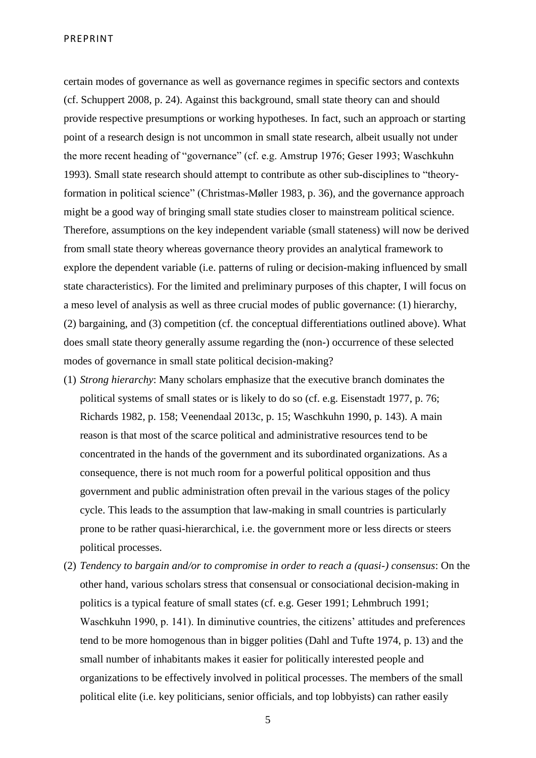certain modes of governance as well as governance regimes in specific sectors and contexts (cf. Schuppert 2008, p. 24). Against this background, small state theory can and should provide respective presumptions or working hypotheses. In fact, such an approach or starting point of a research design is not uncommon in small state research, albeit usually not under the more recent heading of "governance" (cf. e.g. Amstrup 1976; Geser 1993; Waschkuhn 1993). Small state research should attempt to contribute as other sub-disciplines to "theoryformation in political science" (Christmas-Møller 1983, p. 36), and the governance approach might be a good way of bringing small state studies closer to mainstream political science. Therefore, assumptions on the key independent variable (small stateness) will now be derived from small state theory whereas governance theory provides an analytical framework to explore the dependent variable (i.e. patterns of ruling or decision-making influenced by small state characteristics). For the limited and preliminary purposes of this chapter, I will focus on a meso level of analysis as well as three crucial modes of public governance: (1) hierarchy, (2) bargaining, and (3) competition (cf. the conceptual differentiations outlined above). What does small state theory generally assume regarding the (non-) occurrence of these selected modes of governance in small state political decision-making?

- (1) *Strong hierarchy*: Many scholars emphasize that the executive branch dominates the political systems of small states or is likely to do so (cf. e.g. Eisenstadt 1977, p. 76; Richards 1982, p. 158; Veenendaal 2013c, p. 15; Waschkuhn 1990, p. 143). A main reason is that most of the scarce political and administrative resources tend to be concentrated in the hands of the government and its subordinated organizations. As a consequence, there is not much room for a powerful political opposition and thus government and public administration often prevail in the various stages of the policy cycle. This leads to the assumption that law-making in small countries is particularly prone to be rather quasi-hierarchical, i.e. the government more or less directs or steers political processes.
- (2) *Tendency to bargain and/or to compromise in order to reach a (quasi-) consensus*: On the other hand, various scholars stress that consensual or consociational decision-making in politics is a typical feature of small states (cf. e.g. Geser 1991; Lehmbruch 1991; Waschkuhn 1990, p. 141). In diminutive countries, the citizens' attitudes and preferences tend to be more homogenous than in bigger polities (Dahl and Tufte 1974, p. 13) and the small number of inhabitants makes it easier for politically interested people and organizations to be effectively involved in political processes. The members of the small political elite (i.e. key politicians, senior officials, and top lobbyists) can rather easily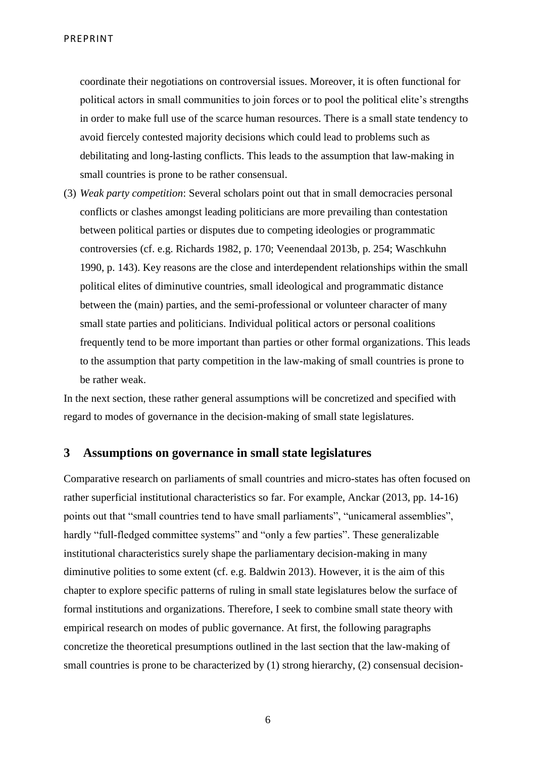coordinate their negotiations on controversial issues. Moreover, it is often functional for political actors in small communities to join forces or to pool the political elite's strengths in order to make full use of the scarce human resources. There is a small state tendency to avoid fiercely contested majority decisions which could lead to problems such as debilitating and long-lasting conflicts. This leads to the assumption that law-making in small countries is prone to be rather consensual.

(3) *Weak party competition*: Several scholars point out that in small democracies personal conflicts or clashes amongst leading politicians are more prevailing than contestation between political parties or disputes due to competing ideologies or programmatic controversies (cf. e.g. Richards 1982, p. 170; Veenendaal 2013b, p. 254; Waschkuhn 1990, p. 143). Key reasons are the close and interdependent relationships within the small political elites of diminutive countries, small ideological and programmatic distance between the (main) parties, and the semi-professional or volunteer character of many small state parties and politicians. Individual political actors or personal coalitions frequently tend to be more important than parties or other formal organizations. This leads to the assumption that party competition in the law-making of small countries is prone to be rather weak.

In the next section, these rather general assumptions will be concretized and specified with regard to modes of governance in the decision-making of small state legislatures.

#### **3 Assumptions on governance in small state legislatures**

Comparative research on parliaments of small countries and micro-states has often focused on rather superficial institutional characteristics so far. For example, Anckar (2013, pp. 14-16) points out that "small countries tend to have small parliaments", "unicameral assemblies", hardly "full-fledged committee systems" and "only a few parties". These generalizable institutional characteristics surely shape the parliamentary decision-making in many diminutive polities to some extent (cf. e.g. Baldwin 2013). However, it is the aim of this chapter to explore specific patterns of ruling in small state legislatures below the surface of formal institutions and organizations. Therefore, I seek to combine small state theory with empirical research on modes of public governance. At first, the following paragraphs concretize the theoretical presumptions outlined in the last section that the law-making of small countries is prone to be characterized by (1) strong hierarchy, (2) consensual decision-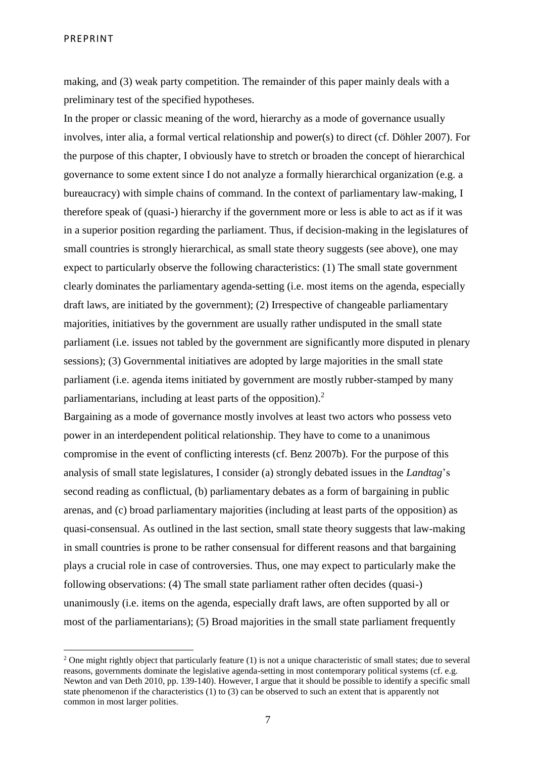1

making, and (3) weak party competition. The remainder of this paper mainly deals with a preliminary test of the specified hypotheses.

In the proper or classic meaning of the word, hierarchy as a mode of governance usually involves, inter alia, a formal vertical relationship and power(s) to direct (cf. Döhler 2007). For the purpose of this chapter, I obviously have to stretch or broaden the concept of hierarchical governance to some extent since I do not analyze a formally hierarchical organization (e.g. a bureaucracy) with simple chains of command. In the context of parliamentary law-making, I therefore speak of (quasi-) hierarchy if the government more or less is able to act as if it was in a superior position regarding the parliament. Thus, if decision-making in the legislatures of small countries is strongly hierarchical, as small state theory suggests (see above), one may expect to particularly observe the following characteristics: (1) The small state government clearly dominates the parliamentary agenda-setting (i.e. most items on the agenda, especially draft laws, are initiated by the government); (2) Irrespective of changeable parliamentary majorities, initiatives by the government are usually rather undisputed in the small state parliament (i.e. issues not tabled by the government are significantly more disputed in plenary sessions); (3) Governmental initiatives are adopted by large majorities in the small state parliament (i.e. agenda items initiated by government are mostly rubber-stamped by many parliamentarians, including at least parts of the opposition).<sup>2</sup>

Bargaining as a mode of governance mostly involves at least two actors who possess veto power in an interdependent political relationship. They have to come to a unanimous compromise in the event of conflicting interests (cf. Benz 2007b). For the purpose of this analysis of small state legislatures, I consider (a) strongly debated issues in the *Landtag*'s second reading as conflictual, (b) parliamentary debates as a form of bargaining in public arenas, and (c) broad parliamentary majorities (including at least parts of the opposition) as quasi-consensual. As outlined in the last section, small state theory suggests that law-making in small countries is prone to be rather consensual for different reasons and that bargaining plays a crucial role in case of controversies. Thus, one may expect to particularly make the following observations: (4) The small state parliament rather often decides (quasi-) unanimously (i.e. items on the agenda, especially draft laws, are often supported by all or most of the parliamentarians); (5) Broad majorities in the small state parliament frequently

<sup>&</sup>lt;sup>2</sup> One might rightly object that particularly feature  $(1)$  is not a unique characteristic of small states; due to several reasons, governments dominate the legislative agenda-setting in most contemporary political systems (cf. e.g. Newton and van Deth 2010, pp. 139-140). However, I argue that it should be possible to identify a specific small state phenomenon if the characteristics (1) to (3) can be observed to such an extent that is apparently not common in most larger polities.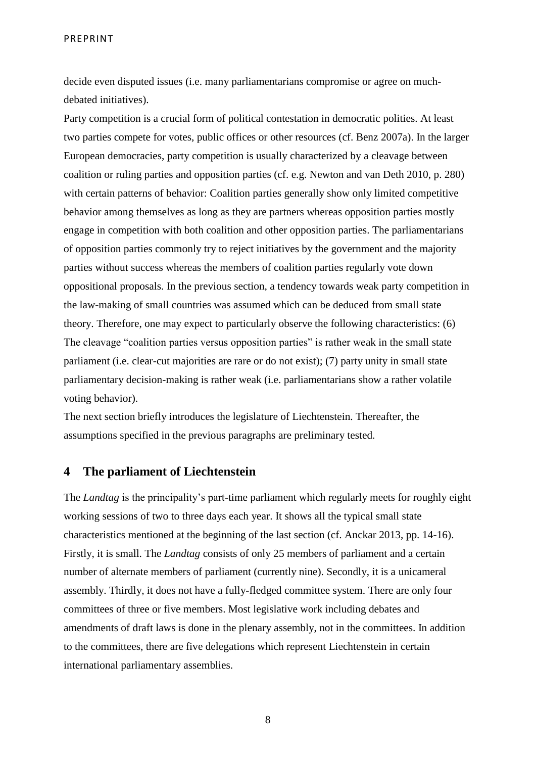decide even disputed issues (i.e. many parliamentarians compromise or agree on muchdebated initiatives).

Party competition is a crucial form of political contestation in democratic polities. At least two parties compete for votes, public offices or other resources (cf. Benz 2007a). In the larger European democracies, party competition is usually characterized by a cleavage between coalition or ruling parties and opposition parties (cf. e.g. Newton and van Deth 2010, p. 280) with certain patterns of behavior: Coalition parties generally show only limited competitive behavior among themselves as long as they are partners whereas opposition parties mostly engage in competition with both coalition and other opposition parties. The parliamentarians of opposition parties commonly try to reject initiatives by the government and the majority parties without success whereas the members of coalition parties regularly vote down oppositional proposals. In the previous section, a tendency towards weak party competition in the law-making of small countries was assumed which can be deduced from small state theory. Therefore, one may expect to particularly observe the following characteristics: (6) The cleavage "coalition parties versus opposition parties" is rather weak in the small state parliament (i.e. clear-cut majorities are rare or do not exist); (7) party unity in small state parliamentary decision-making is rather weak (i.e. parliamentarians show a rather volatile voting behavior).

The next section briefly introduces the legislature of Liechtenstein. Thereafter, the assumptions specified in the previous paragraphs are preliminary tested.

## **4 The parliament of Liechtenstein**

The *Landtag* is the principality's part-time parliament which regularly meets for roughly eight working sessions of two to three days each year. It shows all the typical small state characteristics mentioned at the beginning of the last section (cf. Anckar 2013, pp. 14-16). Firstly, it is small. The *Landtag* consists of only 25 members of parliament and a certain number of alternate members of parliament (currently nine). Secondly, it is a unicameral assembly. Thirdly, it does not have a fully-fledged committee system. There are only four committees of three or five members. Most legislative work including debates and amendments of draft laws is done in the plenary assembly, not in the committees. In addition to the committees, there are five delegations which represent Liechtenstein in certain international parliamentary assemblies.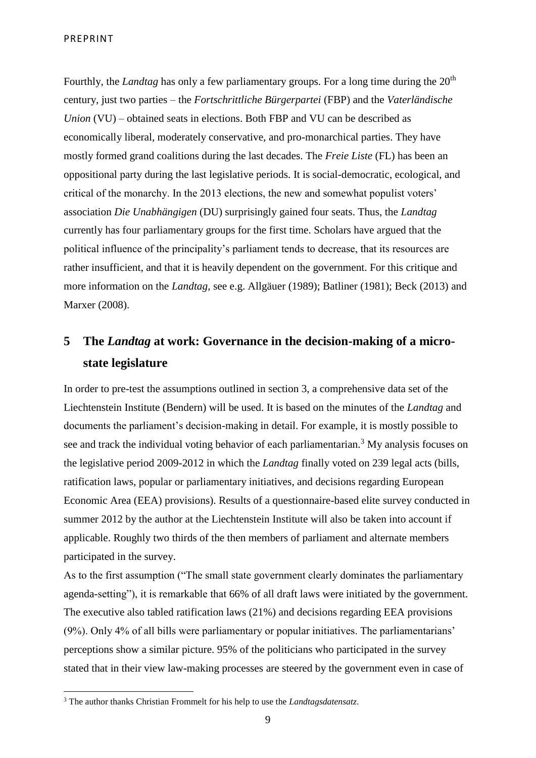Fourthly, the *Landtag* has only a few parliamentary groups. For a long time during the 20<sup>th</sup> century, just two parties – the *Fortschrittliche Bürgerpartei* (FBP) and the *Vaterländische Union* (VU) – obtained seats in elections. Both FBP and VU can be described as economically liberal, moderately conservative, and pro-monarchical parties. They have mostly formed grand coalitions during the last decades. The *Freie Liste* (FL) has been an oppositional party during the last legislative periods. It is social-democratic, ecological, and critical of the monarchy. In the 2013 elections, the new and somewhat populist voters' association *Die Unabhängigen* (DU) surprisingly gained four seats. Thus, the *Landtag* currently has four parliamentary groups for the first time. Scholars have argued that the political influence of the principality's parliament tends to decrease, that its resources are rather insufficient, and that it is heavily dependent on the government. For this critique and more information on the *Landtag*, see e.g. Allgäuer (1989); Batliner (1981); Beck (2013) and Marxer (2008).

## **5 The** *Landtag* **at work: Governance in the decision-making of a microstate legislature**

In order to pre-test the assumptions outlined in section 3, a comprehensive data set of the Liechtenstein Institute (Bendern) will be used. It is based on the minutes of the *Landtag* and documents the parliament's decision-making in detail. For example, it is mostly possible to see and track the individual voting behavior of each parliamentarian.<sup>3</sup> My analysis focuses on the legislative period 2009-2012 in which the *Landtag* finally voted on 239 legal acts (bills, ratification laws, popular or parliamentary initiatives, and decisions regarding European Economic Area (EEA) provisions). Results of a questionnaire-based elite survey conducted in summer 2012 by the author at the Liechtenstein Institute will also be taken into account if applicable. Roughly two thirds of the then members of parliament and alternate members participated in the survey.

As to the first assumption ("The small state government clearly dominates the parliamentary agenda-setting"), it is remarkable that 66% of all draft laws were initiated by the government. The executive also tabled ratification laws (21%) and decisions regarding EEA provisions (9%). Only 4% of all bills were parliamentary or popular initiatives. The parliamentarians' perceptions show a similar picture. 95% of the politicians who participated in the survey stated that in their view law-making processes are steered by the government even in case of

<sup>3</sup> The author thanks Christian Frommelt for his help to use the *Landtagsdatensatz*.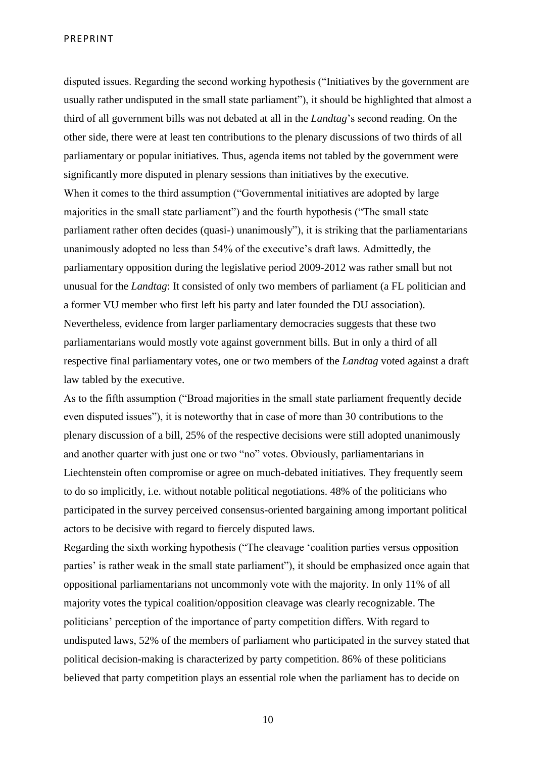disputed issues. Regarding the second working hypothesis ("Initiatives by the government are usually rather undisputed in the small state parliament"), it should be highlighted that almost a third of all government bills was not debated at all in the *Landtag*'s second reading. On the other side, there were at least ten contributions to the plenary discussions of two thirds of all parliamentary or popular initiatives. Thus, agenda items not tabled by the government were significantly more disputed in plenary sessions than initiatives by the executive. When it comes to the third assumption ("Governmental initiatives are adopted by large majorities in the small state parliament") and the fourth hypothesis ("The small state parliament rather often decides (quasi-) unanimously"), it is striking that the parliamentarians unanimously adopted no less than 54% of the executive's draft laws. Admittedly, the parliamentary opposition during the legislative period 2009-2012 was rather small but not unusual for the *Landtag*: It consisted of only two members of parliament (a FL politician and a former VU member who first left his party and later founded the DU association). Nevertheless, evidence from larger parliamentary democracies suggests that these two parliamentarians would mostly vote against government bills. But in only a third of all respective final parliamentary votes, one or two members of the *Landtag* voted against a draft law tabled by the executive.

As to the fifth assumption ("Broad majorities in the small state parliament frequently decide even disputed issues"), it is noteworthy that in case of more than 30 contributions to the plenary discussion of a bill, 25% of the respective decisions were still adopted unanimously and another quarter with just one or two "no" votes. Obviously, parliamentarians in Liechtenstein often compromise or agree on much-debated initiatives. They frequently seem to do so implicitly, i.e. without notable political negotiations. 48% of the politicians who participated in the survey perceived consensus-oriented bargaining among important political actors to be decisive with regard to fiercely disputed laws.

Regarding the sixth working hypothesis ("The cleavage 'coalition parties versus opposition parties' is rather weak in the small state parliament"), it should be emphasized once again that oppositional parliamentarians not uncommonly vote with the majority. In only 11% of all majority votes the typical coalition/opposition cleavage was clearly recognizable. The politicians' perception of the importance of party competition differs. With regard to undisputed laws, 52% of the members of parliament who participated in the survey stated that political decision-making is characterized by party competition. 86% of these politicians believed that party competition plays an essential role when the parliament has to decide on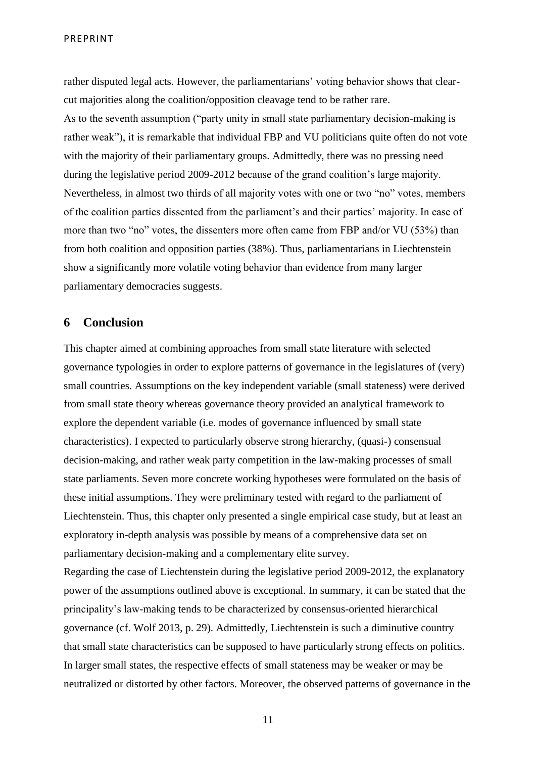rather disputed legal acts. However, the parliamentarians' voting behavior shows that clearcut majorities along the coalition/opposition cleavage tend to be rather rare. As to the seventh assumption ("party unity in small state parliamentary decision-making is rather weak"), it is remarkable that individual FBP and VU politicians quite often do not vote with the majority of their parliamentary groups. Admittedly, there was no pressing need during the legislative period 2009-2012 because of the grand coalition's large majority. Nevertheless, in almost two thirds of all majority votes with one or two "no" votes, members of the coalition parties dissented from the parliament's and their parties' majority. In case of more than two "no" votes, the dissenters more often came from FBP and/or VU (53%) than from both coalition and opposition parties (38%). Thus, parliamentarians in Liechtenstein show a significantly more volatile voting behavior than evidence from many larger parliamentary democracies suggests.

#### **6 Conclusion**

This chapter aimed at combining approaches from small state literature with selected governance typologies in order to explore patterns of governance in the legislatures of (very) small countries. Assumptions on the key independent variable (small stateness) were derived from small state theory whereas governance theory provided an analytical framework to explore the dependent variable (i.e. modes of governance influenced by small state characteristics). I expected to particularly observe strong hierarchy, (quasi-) consensual decision-making, and rather weak party competition in the law-making processes of small state parliaments. Seven more concrete working hypotheses were formulated on the basis of these initial assumptions. They were preliminary tested with regard to the parliament of Liechtenstein. Thus, this chapter only presented a single empirical case study, but at least an exploratory in-depth analysis was possible by means of a comprehensive data set on parliamentary decision-making and a complementary elite survey.

Regarding the case of Liechtenstein during the legislative period 2009-2012, the explanatory power of the assumptions outlined above is exceptional. In summary, it can be stated that the principality's law-making tends to be characterized by consensus-oriented hierarchical governance (cf. Wolf 2013, p. 29). Admittedly, Liechtenstein is such a diminutive country that small state characteristics can be supposed to have particularly strong effects on politics. In larger small states, the respective effects of small stateness may be weaker or may be neutralized or distorted by other factors. Moreover, the observed patterns of governance in the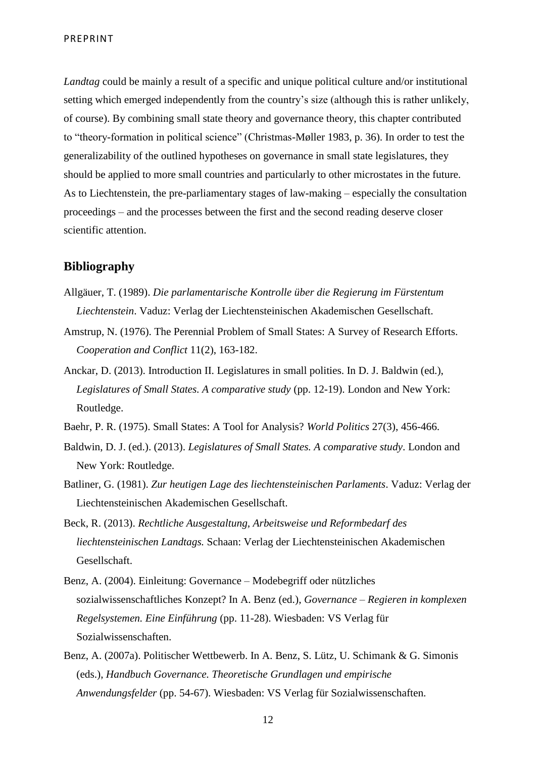*Landtag* could be mainly a result of a specific and unique political culture and/or institutional setting which emerged independently from the country's size (although this is rather unlikely, of course). By combining small state theory and governance theory, this chapter contributed to "theory-formation in political science" (Christmas-Møller 1983, p. 36). In order to test the generalizability of the outlined hypotheses on governance in small state legislatures, they should be applied to more small countries and particularly to other microstates in the future. As to Liechtenstein, the pre-parliamentary stages of law-making – especially the consultation proceedings – and the processes between the first and the second reading deserve closer scientific attention.

#### **Bibliography**

- Allgäuer, T. (1989). *Die parlamentarische Kontrolle über die Regierung im Fürstentum Liechtenstein*. Vaduz: Verlag der Liechtensteinischen Akademischen Gesellschaft.
- Amstrup, N. (1976). The Perennial Problem of Small States: A Survey of Research Efforts. *Cooperation and Conflict* 11(2), 163-182.
- Anckar, D. (2013). Introduction II. Legislatures in small polities. In D. J. Baldwin (ed.), *Legislatures of Small States. A comparative study* (pp. 12-19). London and New York: Routledge.
- Baehr, P. R. (1975). Small States: A Tool for Analysis? *World Politics* 27(3), 456-466.
- Baldwin, D. J. (ed.). (2013). *Legislatures of Small States. A comparative study*. London and New York: Routledge.
- Batliner, G. (1981). *Zur heutigen Lage des liechtensteinischen Parlaments*. Vaduz: Verlag der Liechtensteinischen Akademischen Gesellschaft.
- Beck, R. (2013). *Rechtliche Ausgestaltung, Arbeitsweise und Reformbedarf des liechtensteinischen Landtags.* Schaan: Verlag der Liechtensteinischen Akademischen Gesellschaft.
- Benz, A. (2004). Einleitung: Governance Modebegriff oder nützliches sozialwissenschaftliches Konzept? In A. Benz (ed.), *Governance – Regieren in komplexen Regelsystemen. Eine Einführung* (pp. 11-28). Wiesbaden: VS Verlag für Sozialwissenschaften.
- Benz, A. (2007a). Politischer Wettbewerb. In A. Benz, S. Lütz, U. Schimank & G. Simonis (eds.), *Handbuch Governance. Theoretische Grundlagen und empirische Anwendungsfelder* (pp. 54-67). Wiesbaden: VS Verlag für Sozialwissenschaften.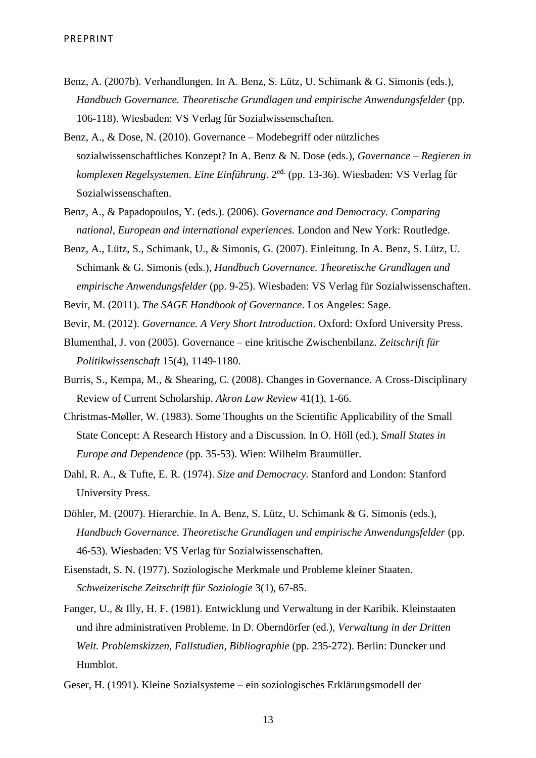- Benz, A. (2007b). Verhandlungen. In A. Benz, S. Lütz, U. Schimank & G. Simonis (eds.), *Handbuch Governance. Theoretische Grundlagen und empirische Anwendungsfelder* (pp. 106-118). Wiesbaden: VS Verlag für Sozialwissenschaften.
- Benz, A., & Dose, N. (2010). Governance Modebegriff oder nützliches sozialwissenschaftliches Konzept? In A. Benz & N. Dose (eds.), *Governance – Regieren in komplexen Regelsystemen. Eine Einführung*. 2ed. (pp. 13-36). Wiesbaden: VS Verlag für Sozialwissenschaften.
- Benz, A., & Papadopoulos, Y. (eds.). (2006). *Governance and Democracy. Comparing national, European and international experiences.* London and New York: Routledge.
- Benz, A., Lütz, S., Schimank, U., & Simonis, G. (2007). Einleitung. In A. Benz, S. Lütz, U. Schimank & G. Simonis (eds.), *Handbuch Governance. Theoretische Grundlagen und empirische Anwendungsfelder* (pp. 9-25). Wiesbaden: VS Verlag für Sozialwissenschaften.
- Bevir, M. (2011). *The SAGE Handbook of Governance*. Los Angeles: Sage.
- Bevir, M. (2012). *Governance. A Very Short Introduction*. Oxford: Oxford University Press.
- Blumenthal, J. von (2005). Governance eine kritische Zwischenbilanz. *Zeitschrift für Politikwissenschaft* 15(4), 1149-1180.
- Burris, S., Kempa, M., & Shearing, C. (2008). Changes in Governance. A Cross-Disciplinary Review of Current Scholarship. *Akron Law Review* 41(1), 1-66.
- Christmas-Møller, W. (1983). Some Thoughts on the Scientific Applicability of the Small State Concept: A Research History and a Discussion. In O. Höll (ed.), *Small States in Europe and Dependence* (pp. 35-53). Wien: Wilhelm Braumüller.
- Dahl, R. A., & Tufte, E. R. (1974). *Size and Democracy.* Stanford and London: Stanford University Press.
- Döhler, M. (2007). Hierarchie. In A. Benz, S. Lütz, U. Schimank & G. Simonis (eds.), *Handbuch Governance. Theoretische Grundlagen und empirische Anwendungsfelder* (pp. 46-53). Wiesbaden: VS Verlag für Sozialwissenschaften.
- Eisenstadt, S. N. (1977). Soziologische Merkmale und Probleme kleiner Staaten. *Schweizerische Zeitschrift für Soziologie* 3(1), 67-85.
- Fanger, U., & Illy, H. F. (1981). Entwicklung und Verwaltung in der Karibik. Kleinstaaten und ihre administrativen Probleme. In D. Oberndörfer (ed.), *Verwaltung in der Dritten Welt. Problemskizzen, Fallstudien, Bibliographie* (pp. 235-272). Berlin: Duncker und Humblot.
- Geser, H. (1991). Kleine Sozialsysteme ein soziologisches Erklärungsmodell der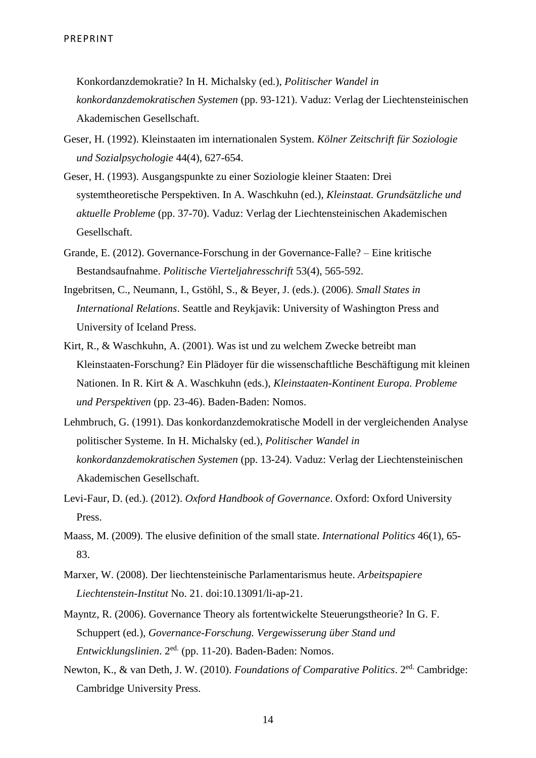Konkordanzdemokratie? In H. Michalsky (ed.), *Politischer Wandel in konkordanzdemokratischen Systemen* (pp. 93-121). Vaduz: Verlag der Liechtensteinischen Akademischen Gesellschaft.

- Geser, H. (1992). Kleinstaaten im internationalen System. *Kölner Zeitschrift für Soziologie und Sozialpsychologie* 44(4), 627-654.
- Geser, H. (1993). Ausgangspunkte zu einer Soziologie kleiner Staaten: Drei systemtheoretische Perspektiven. In A. Waschkuhn (ed.), *Kleinstaat. Grundsätzliche und aktuelle Probleme* (pp. 37-70). Vaduz: Verlag der Liechtensteinischen Akademischen Gesellschaft.
- Grande, E. (2012). Governance-Forschung in der Governance-Falle? Eine kritische Bestandsaufnahme. *Politische Vierteljahresschrift* 53(4), 565-592.
- Ingebritsen, C., Neumann, I., Gstöhl, S., & Beyer, J. (eds.). (2006). *Small States in International Relations*. Seattle and Reykjavik: University of Washington Press and University of Iceland Press.
- Kirt, R., & Waschkuhn, A. (2001). Was ist und zu welchem Zwecke betreibt man Kleinstaaten-Forschung? Ein Plädoyer für die wissenschaftliche Beschäftigung mit kleinen Nationen. In R. Kirt & A. Waschkuhn (eds.), *Kleinstaaten-Kontinent Europa. Probleme und Perspektiven* (pp. 23-46). Baden-Baden: Nomos.
- Lehmbruch, G. (1991). Das konkordanzdemokratische Modell in der vergleichenden Analyse politischer Systeme. In H. Michalsky (ed.), *Politischer Wandel in konkordanzdemokratischen Systemen* (pp. 13-24). Vaduz: Verlag der Liechtensteinischen Akademischen Gesellschaft.
- Levi-Faur, D. (ed.). (2012). *Oxford Handbook of Governance*. Oxford: Oxford University Press.
- Maass, M. (2009). The elusive definition of the small state. *International Politics* 46(1), 65- 83.
- Marxer, W. (2008). Der liechtensteinische Parlamentarismus heute. *Arbeitspapiere Liechtenstein-Institut* No. 21. doi:10.13091/li-ap-21.
- Mayntz, R. (2006). Governance Theory als fortentwickelte Steuerungstheorie? In G. F. Schuppert (ed.), *Governance-Forschung. Vergewisserung über Stand und Entwicklungslinien*. 2ed. (pp. 11-20). Baden-Baden: Nomos.
- Newton, K., & van Deth, J. W. (2010). *Foundations of Comparative Politics*. 2ed. Cambridge: Cambridge University Press.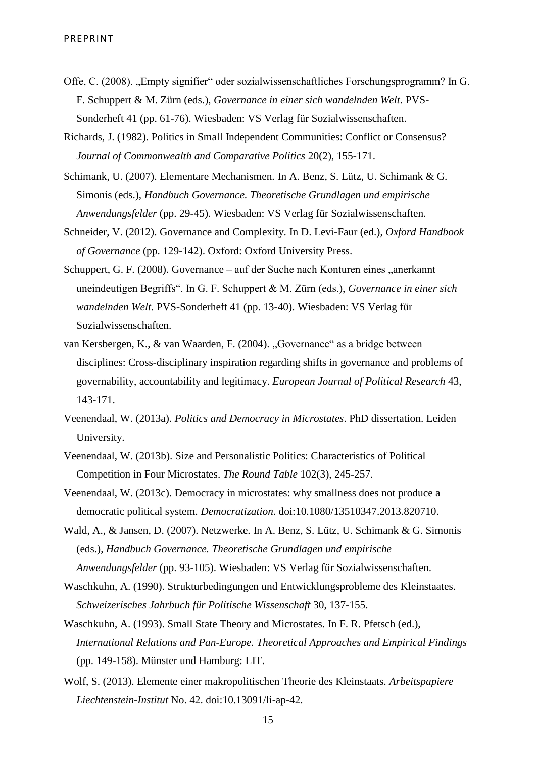- Offe, C. (2008). "Empty signifier" oder sozialwissenschaftliches Forschungsprogramm? In G. F. Schuppert & M. Zürn (eds.), *Governance in einer sich wandelnden Welt*. PVS-Sonderheft 41 (pp. 61-76). Wiesbaden: VS Verlag für Sozialwissenschaften.
- Richards, J. (1982). Politics in Small Independent Communities: Conflict or Consensus? *Journal of Commonwealth and Comparative Politics* 20(2), 155-171.
- Schimank, U. (2007). Elementare Mechanismen. In A. Benz, S. Lütz, U. Schimank & G. Simonis (eds.), *Handbuch Governance. Theoretische Grundlagen und empirische Anwendungsfelder* (pp. 29-45). Wiesbaden: VS Verlag für Sozialwissenschaften.
- Schneider, V. (2012). Governance and Complexity. In D. Levi-Faur (ed.), *Oxford Handbook of Governance* (pp. 129-142). Oxford: Oxford University Press.
- Schuppert, G. F. (2008). Governance auf der Suche nach Konturen eines "anerkannt uneindeutigen Begriffs". In G. F. Schuppert & M. Zürn (eds.), *Governance in einer sich wandelnden Welt*. PVS-Sonderheft 41 (pp. 13-40). Wiesbaden: VS Verlag für Sozialwissenschaften.
- van Kersbergen, K., & van Waarden, F. (2004). "Governance" as a bridge between disciplines: Cross-disciplinary inspiration regarding shifts in governance and problems of governability, accountability and legitimacy. *European Journal of Political Research* 43, 143-171.
- Veenendaal, W. (2013a). *Politics and Democracy in Microstates*. PhD dissertation. Leiden University.
- Veenendaal, W. (2013b). Size and Personalistic Politics: Characteristics of Political Competition in Four Microstates. *The Round Table* 102(3), 245-257.
- Veenendaal, W. (2013c). Democracy in microstates: why smallness does not produce a democratic political system. *Democratization*. doi:10.1080/13510347.2013.820710.
- Wald, A., & Jansen, D. (2007). Netzwerke. In A. Benz, S. Lütz, U. Schimank & G. Simonis (eds.), *Handbuch Governance. Theoretische Grundlagen und empirische Anwendungsfelder* (pp. 93-105). Wiesbaden: VS Verlag für Sozialwissenschaften.
- Waschkuhn, A. (1990). Strukturbedingungen und Entwicklungsprobleme des Kleinstaates. *Schweizerisches Jahrbuch für Politische Wissenschaft* 30, 137-155.
- Waschkuhn, A. (1993). Small State Theory and Microstates. In F. R. Pfetsch (ed.), *International Relations and Pan-Europe. Theoretical Approaches and Empirical Findings* (pp. 149-158). Münster und Hamburg: LIT.
- Wolf, S. (2013). Elemente einer makropolitischen Theorie des Kleinstaats. *Arbeitspapiere Liechtenstein-Institut* No. 42. doi:10.13091/li-ap-42.